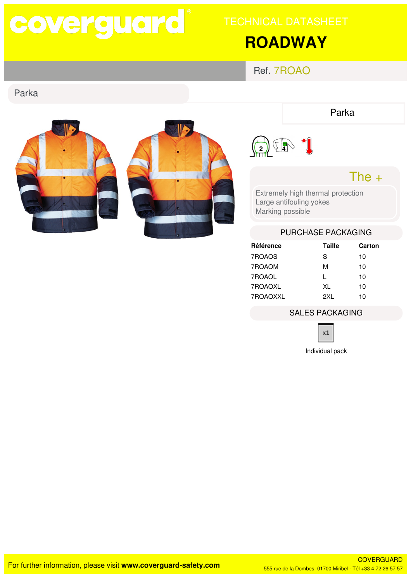# coverguard

# **ROADWAY**

Ref. 7ROAO

### Parka



Parka



### The  $+$

Extremely high thermal protection Large antifouling yokes Marking possible

#### PURCHASE PACKAGING

| Référence | Taille | Carton |
|-----------|--------|--------|
| 7ROAOS    | S      | 10     |
| 7ROAOM    | м      | 10     |
| 7ROAOL    | L      | 10     |
| 7ROAOXL   | XL     | 10     |
| 7ROAOXXL  | 2XI.   | 10     |

#### **SALES PACKAGING**



Individual pack